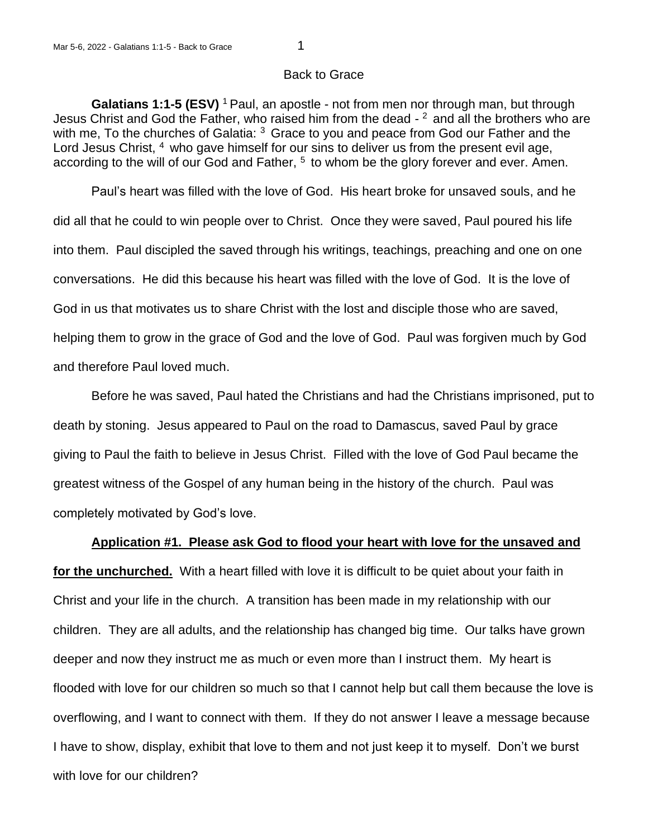## Back to Grace

**Galatians 1:1-5 (ESV)** <sup>1</sup> Paul, an apostle - not from men nor through man, but through Jesus Christ and God the Father, who raised him from the dead  $-2$  and all the brothers who are with me, To the churches of Galatia: <sup>3</sup> Grace to you and peace from God our Father and the Lord Jesus Christ, <sup>4</sup> who gave himself for our sins to deliver us from the present evil age, according to the will of our God and Father,  $5$  to whom be the glory forever and ever. Amen.

Paul's heart was filled with the love of God. His heart broke for unsaved souls, and he did all that he could to win people over to Christ. Once they were saved, Paul poured his life into them. Paul discipled the saved through his writings, teachings, preaching and one on one conversations. He did this because his heart was filled with the love of God. It is the love of God in us that motivates us to share Christ with the lost and disciple those who are saved, helping them to grow in the grace of God and the love of God. Paul was forgiven much by God and therefore Paul loved much.

Before he was saved, Paul hated the Christians and had the Christians imprisoned, put to death by stoning. Jesus appeared to Paul on the road to Damascus, saved Paul by grace giving to Paul the faith to believe in Jesus Christ. Filled with the love of God Paul became the greatest witness of the Gospel of any human being in the history of the church. Paul was completely motivated by God's love.

## **Application #1. Please ask God to flood your heart with love for the unsaved and**

**for the unchurched.** With a heart filled with love it is difficult to be quiet about your faith in Christ and your life in the church. A transition has been made in my relationship with our children. They are all adults, and the relationship has changed big time. Our talks have grown deeper and now they instruct me as much or even more than I instruct them. My heart is flooded with love for our children so much so that I cannot help but call them because the love is overflowing, and I want to connect with them. If they do not answer I leave a message because I have to show, display, exhibit that love to them and not just keep it to myself. Don't we burst with love for our children?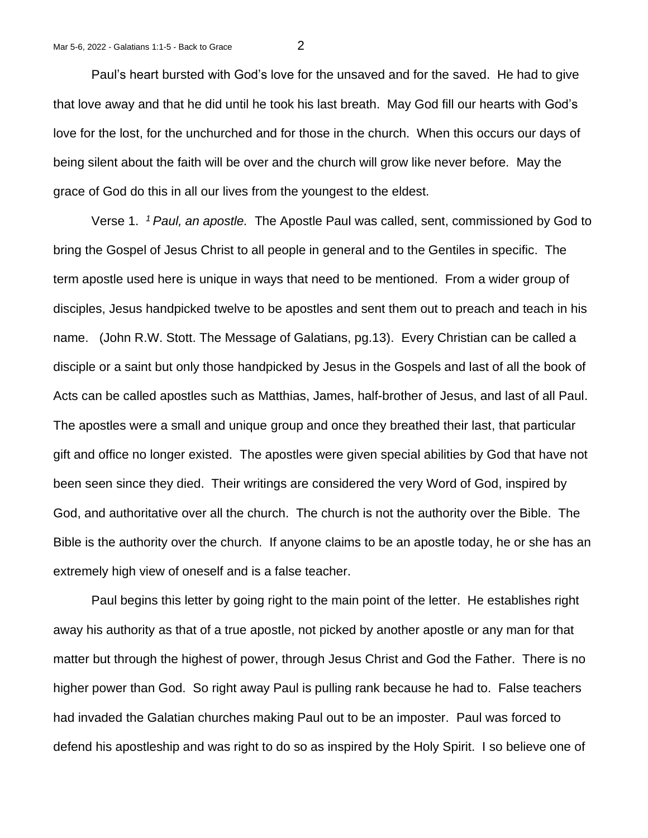Paul's heart bursted with God's love for the unsaved and for the saved. He had to give that love away and that he did until he took his last breath. May God fill our hearts with God's love for the lost, for the unchurched and for those in the church. When this occurs our days of being silent about the faith will be over and the church will grow like never before. May the grace of God do this in all our lives from the youngest to the eldest.

Verse 1. *<sup>1</sup>Paul, an apostle.* The Apostle Paul was called, sent, commissioned by God to bring the Gospel of Jesus Christ to all people in general and to the Gentiles in specific. The term apostle used here is unique in ways that need to be mentioned. From a wider group of disciples, Jesus handpicked twelve to be apostles and sent them out to preach and teach in his name. (John R.W. Stott. The Message of Galatians, pg.13). Every Christian can be called a disciple or a saint but only those handpicked by Jesus in the Gospels and last of all the book of Acts can be called apostles such as Matthias, James, half-brother of Jesus, and last of all Paul. The apostles were a small and unique group and once they breathed their last, that particular gift and office no longer existed. The apostles were given special abilities by God that have not been seen since they died. Their writings are considered the very Word of God, inspired by God, and authoritative over all the church. The church is not the authority over the Bible. The Bible is the authority over the church. If anyone claims to be an apostle today, he or she has an extremely high view of oneself and is a false teacher.

Paul begins this letter by going right to the main point of the letter. He establishes right away his authority as that of a true apostle, not picked by another apostle or any man for that matter but through the highest of power, through Jesus Christ and God the Father. There is no higher power than God. So right away Paul is pulling rank because he had to. False teachers had invaded the Galatian churches making Paul out to be an imposter. Paul was forced to defend his apostleship and was right to do so as inspired by the Holy Spirit. I so believe one of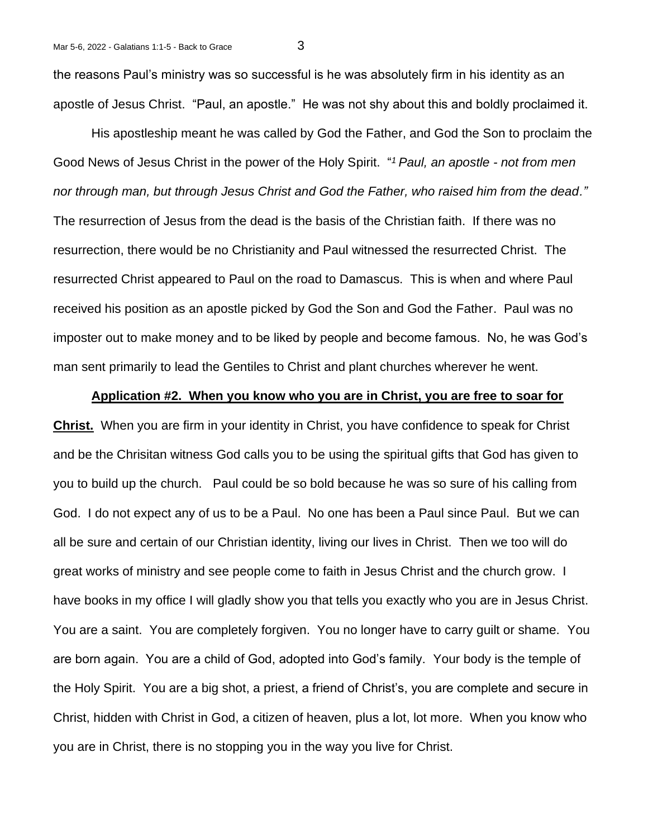the reasons Paul's ministry was so successful is he was absolutely firm in his identity as an apostle of Jesus Christ. "Paul, an apostle." He was not shy about this and boldly proclaimed it.

His apostleship meant he was called by God the Father, and God the Son to proclaim the Good News of Jesus Christ in the power of the Holy Spirit. " *<sup>1</sup>Paul, an apostle - not from men nor through man, but through Jesus Christ and God the Father, who raised him from the dead."* The resurrection of Jesus from the dead is the basis of the Christian faith. If there was no resurrection, there would be no Christianity and Paul witnessed the resurrected Christ. The resurrected Christ appeared to Paul on the road to Damascus. This is when and where Paul received his position as an apostle picked by God the Son and God the Father. Paul was no imposter out to make money and to be liked by people and become famous. No, he was God's man sent primarily to lead the Gentiles to Christ and plant churches wherever he went.

## **Application #2. When you know who you are in Christ, you are free to soar for**

**Christ.** When you are firm in your identity in Christ, you have confidence to speak for Christ and be the Chrisitan witness God calls you to be using the spiritual gifts that God has given to you to build up the church. Paul could be so bold because he was so sure of his calling from God. I do not expect any of us to be a Paul. No one has been a Paul since Paul. But we can all be sure and certain of our Christian identity, living our lives in Christ. Then we too will do great works of ministry and see people come to faith in Jesus Christ and the church grow. I have books in my office I will gladly show you that tells you exactly who you are in Jesus Christ. You are a saint. You are completely forgiven. You no longer have to carry guilt or shame. You are born again. You are a child of God, adopted into God's family. Your body is the temple of the Holy Spirit. You are a big shot, a priest, a friend of Christ's, you are complete and secure in Christ, hidden with Christ in God, a citizen of heaven, plus a lot, lot more. When you know who you are in Christ, there is no stopping you in the way you live for Christ.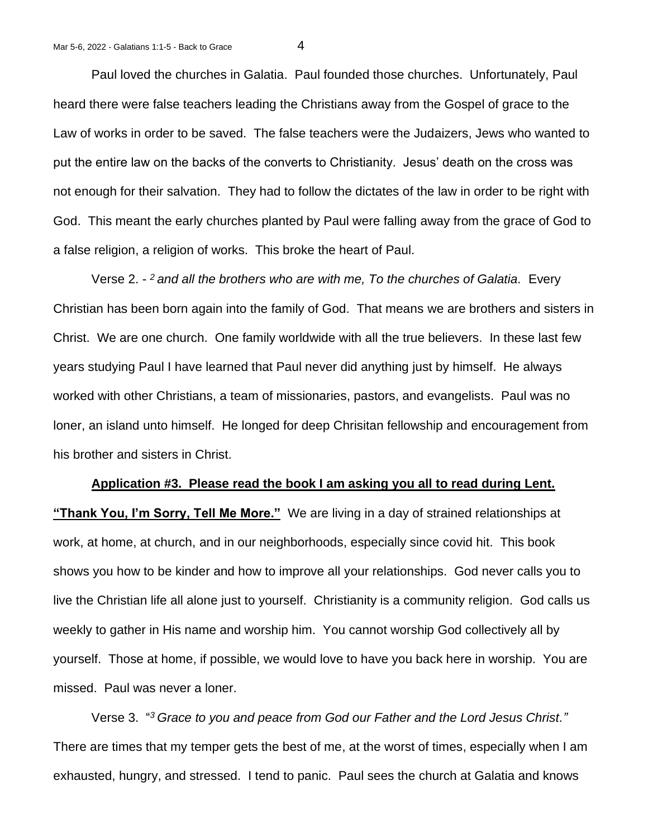Paul loved the churches in Galatia. Paul founded those churches. Unfortunately, Paul heard there were false teachers leading the Christians away from the Gospel of grace to the Law of works in order to be saved. The false teachers were the Judaizers, Jews who wanted to put the entire law on the backs of the converts to Christianity. Jesus' death on the cross was not enough for their salvation. They had to follow the dictates of the law in order to be right with God. This meant the early churches planted by Paul were falling away from the grace of God to a false religion, a religion of works. This broke the heart of Paul.

Verse 2. - *<sup>2</sup>and all the brothers who are with me, To the churches of Galatia.* Every Christian has been born again into the family of God. That means we are brothers and sisters in Christ. We are one church. One family worldwide with all the true believers. In these last few years studying Paul I have learned that Paul never did anything just by himself. He always worked with other Christians, a team of missionaries, pastors, and evangelists. Paul was no loner, an island unto himself. He longed for deep Chrisitan fellowship and encouragement from his brother and sisters in Christ.

## **Application #3. Please read the book I am asking you all to read during Lent. "Thank You, I'm Sorry, Tell Me More."** We are living in a day of strained relationships at work, at home, at church, and in our neighborhoods, especially since covid hit. This book shows you how to be kinder and how to improve all your relationships. God never calls you to live the Christian life all alone just to yourself. Christianity is a community religion. God calls us weekly to gather in His name and worship him. You cannot worship God collectively all by yourself. Those at home, if possible, we would love to have you back here in worship. You are missed. Paul was never a loner.

Verse 3. " *<sup>3</sup>Grace to you and peace from God our Father and the Lord Jesus Christ."*  There are times that my temper gets the best of me, at the worst of times, especially when I am exhausted, hungry, and stressed. I tend to panic. Paul sees the church at Galatia and knows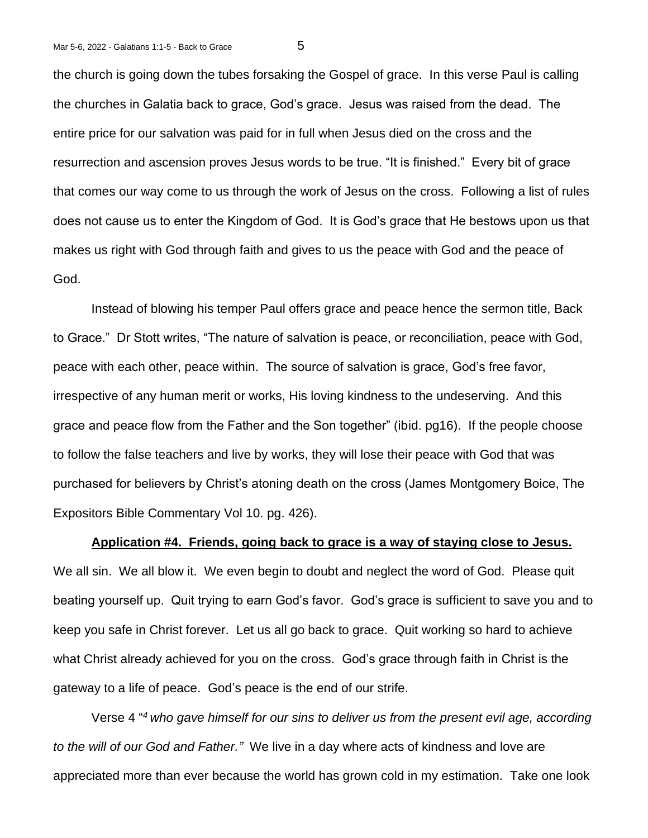the church is going down the tubes forsaking the Gospel of grace. In this verse Paul is calling the churches in Galatia back to grace, God's grace. Jesus was raised from the dead. The entire price for our salvation was paid for in full when Jesus died on the cross and the resurrection and ascension proves Jesus words to be true. "It is finished." Every bit of grace that comes our way come to us through the work of Jesus on the cross. Following a list of rules does not cause us to enter the Kingdom of God. It is God's grace that He bestows upon us that makes us right with God through faith and gives to us the peace with God and the peace of God.

Instead of blowing his temper Paul offers grace and peace hence the sermon title, Back to Grace." Dr Stott writes, "The nature of salvation is peace, or reconciliation, peace with God, peace with each other, peace within. The source of salvation is grace, God's free favor, irrespective of any human merit or works, His loving kindness to the undeserving. And this grace and peace flow from the Father and the Son together" (ibid. pg16). If the people choose to follow the false teachers and live by works, they will lose their peace with God that was purchased for believers by Christ's atoning death on the cross (James Montgomery Boice, The Expositors Bible Commentary Vol 10. pg. 426).

**Application #4. Friends, going back to grace is a way of staying close to Jesus.**

We all sin. We all blow it. We even begin to doubt and neglect the word of God. Please quit beating yourself up. Quit trying to earn God's favor. God's grace is sufficient to save you and to keep you safe in Christ forever. Let us all go back to grace. Quit working so hard to achieve what Christ already achieved for you on the cross. God's grace through faith in Christ is the gateway to a life of peace. God's peace is the end of our strife.

Verse 4 " *<sup>4</sup>who gave himself for our sins to deliver us from the present evil age, according to the will of our God and Father."* We live in a day where acts of kindness and love are appreciated more than ever because the world has grown cold in my estimation. Take one look